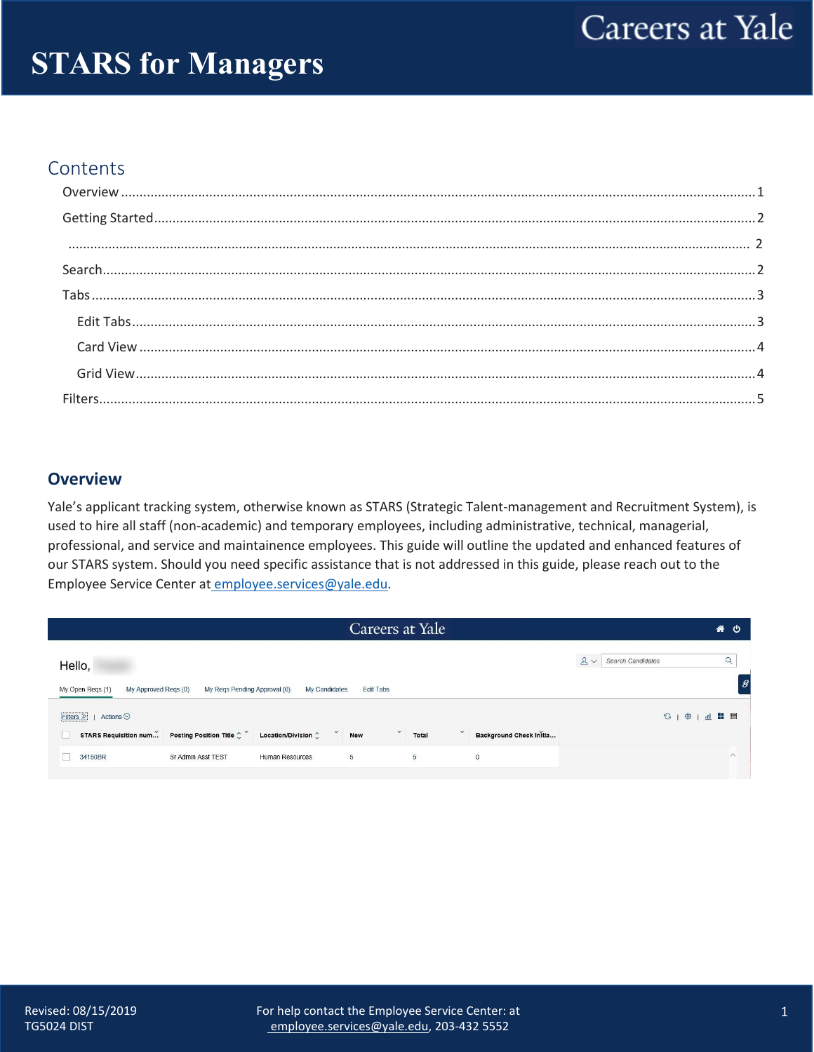# **STARS for Managers**

### Contents

#### <span id="page-0-0"></span>**Overview**

Yale's applicant tracking system, otherwise known as STARS (Strategic Talent-management and Recruitment System), is used to hire all staff (non-academic) and temporary employees, including administrative, technical, managerial, professional, and service and maintainence employees. This guide will outline the updated and enhanced features of our STARS system. Should you need specific assistance that is not addressed in this guide, please reach out to the Employee Service Center at employee.services@yale.edu.

|                                                                                           | Careers at Yale                            |                         |                              | 各心                  |
|-------------------------------------------------------------------------------------------|--------------------------------------------|-------------------------|------------------------------|---------------------|
| Hello,                                                                                    |                                            |                         | $2 - 2$<br>Search Candidates | $\alpha$            |
| My Open Regs (1)<br>My Approved Reqs (0)<br>My Regs Pending Approval (0)<br>My Candidates | <b>Edit Tabs</b>                           |                         |                              |                     |
| Actions $\odot$<br>Filters $\gg$                                                          |                                            |                         | <b>S1 @   dl H 冒</b>         |                     |
| STARS Requisition num Posting Position Title $\hat{C}^{\vee}$<br>Location/Division        | $\checkmark$<br>Total<br>New               | Background Check Initia |                              |                     |
| Sr Admin Asst TEST<br>34150BR<br>Human Resources                                          | $\overline{\mathbf{5}}$<br>$5\overline{)}$ | $\mathbf 0$             |                              | $\hat{\phantom{a}}$ |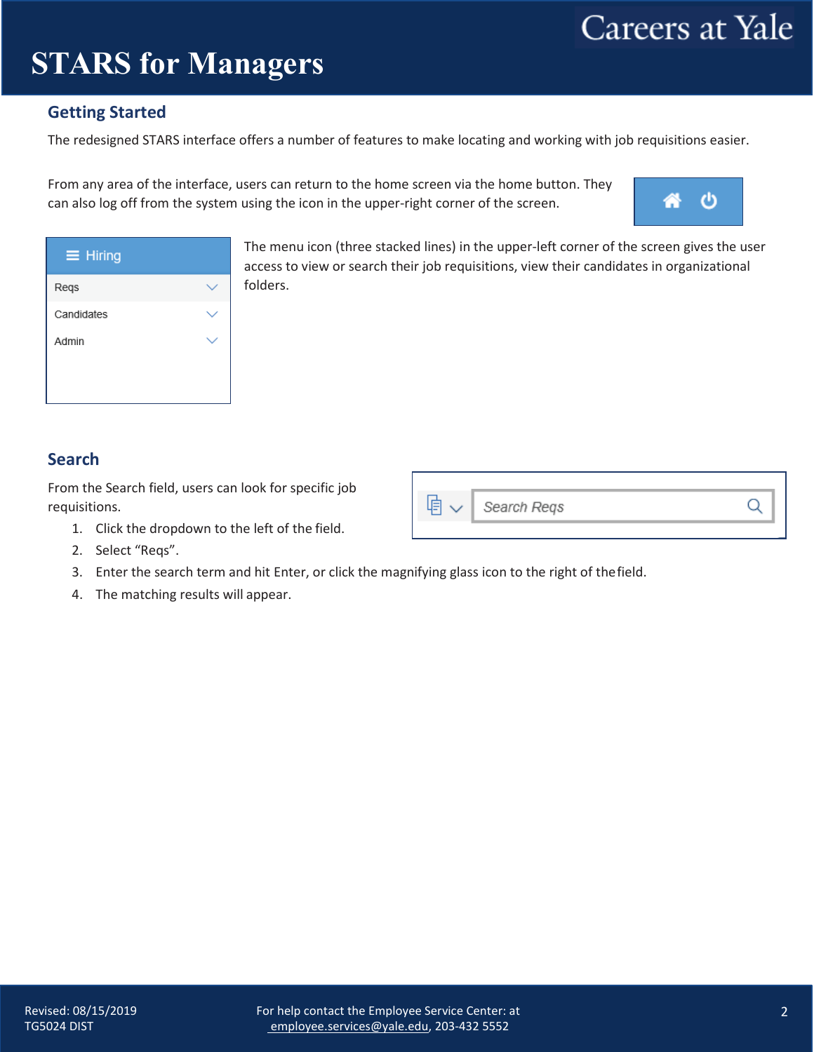## **STARS for Managers**

### <span id="page-1-0"></span>**Getting Started**

The redesigned STARS interface offers a number of features to make locating and working with job requisitions easier.

From any area of the interface, users can return to the home screen via the home button. They can also log off from the system using the icon in the upper-right corner of the screen.



| $\equiv$ Hiring |  |
|-----------------|--|
| Regs            |  |
| Candidates      |  |
| Admin           |  |
|                 |  |
|                 |  |

The menu icon (three stacked lines) in the upper-left corner of the screen gives the user access to view or search their job requisitions, view their candidates in organizational folders.

Search Regs

### <span id="page-1-1"></span>**Search**

From the Search field, users can look for specific job requisitions.

- 1. Click the dropdown to the left of the field.
- 2. Select "Reqs".
- 3. Enter the search term and hit Enter, or click the magnifying glass icon to the right of thefield.

咱、

4. The matching results will appear.

Q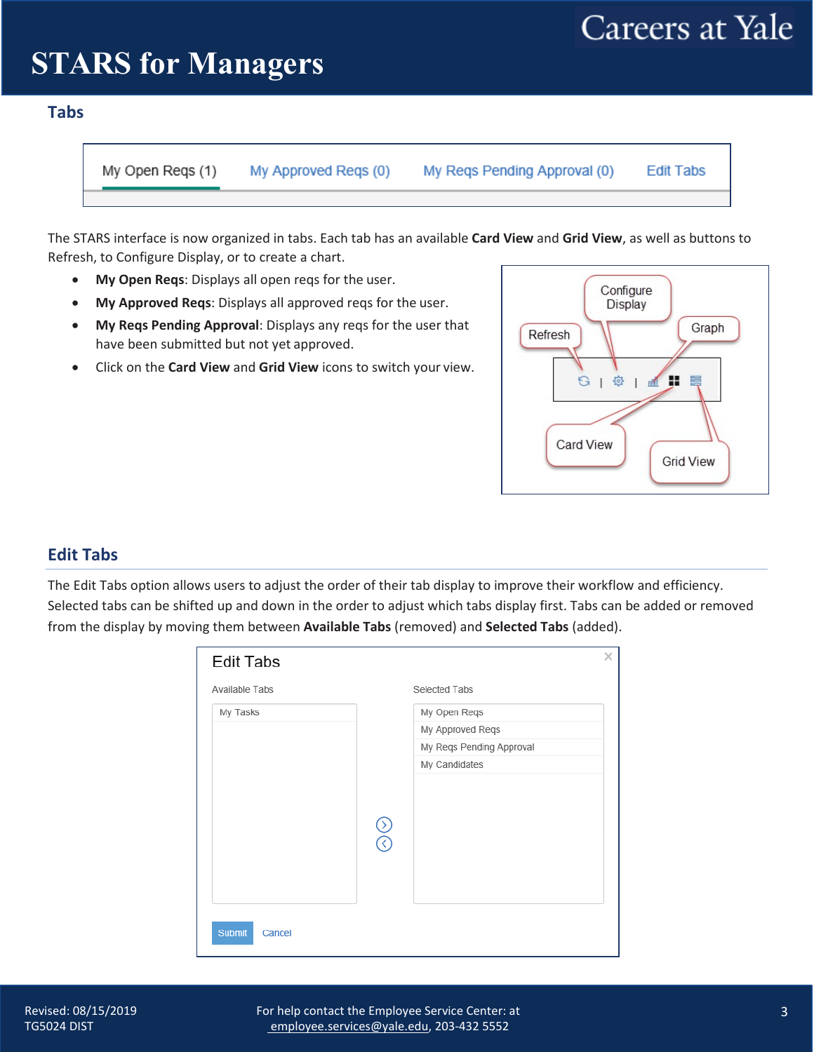# **STARS** for Managers

#### <span id="page-2-0"></span>**Tabs**

My Open Regs (1)

My Approved Regs (0)

My Regs Pending Approval (0)

**Edit Tabs** 

The STARS interface is now organized in tabs. Each tab has an available **Card View** and **Grid View**, as well as buttons to Refresh, to Configure Display, or to create a chart.

- **My Open Reqs**: Displays all open reqs for the user.
- **My Approved Reqs**: Displays all approved reqs for the user.
- **My Reqs Pending Approval**: Displays any reqs for the user that have been submitted but not yet approved.
- Click on the **Card View** and **Grid View** icons to switch your view.



### <span id="page-2-1"></span>**Edit Tabs**

The Edit Tabs option allows users to adjust the order of their tab display to improve their workflow and efficiency. Selected tabs can be shifted up and down in the order to adjust which tabs display first. Tabs can be added or removed from the display by moving them between **Available Tabs** (removed) and **Selected Tabs** (added).

| Available Tabs |                                   | Selected Tabs            |  |
|----------------|-----------------------------------|--------------------------|--|
| My Tasks       |                                   | My Open Reqs             |  |
|                |                                   | My Approved Reqs         |  |
|                |                                   | My Regs Pending Approval |  |
|                |                                   | My Candidates            |  |
|                |                                   |                          |  |
|                | $\frac{\mathcal{S}}{\mathcal{S}}$ |                          |  |
|                |                                   |                          |  |
|                |                                   |                          |  |
|                |                                   |                          |  |
|                |                                   |                          |  |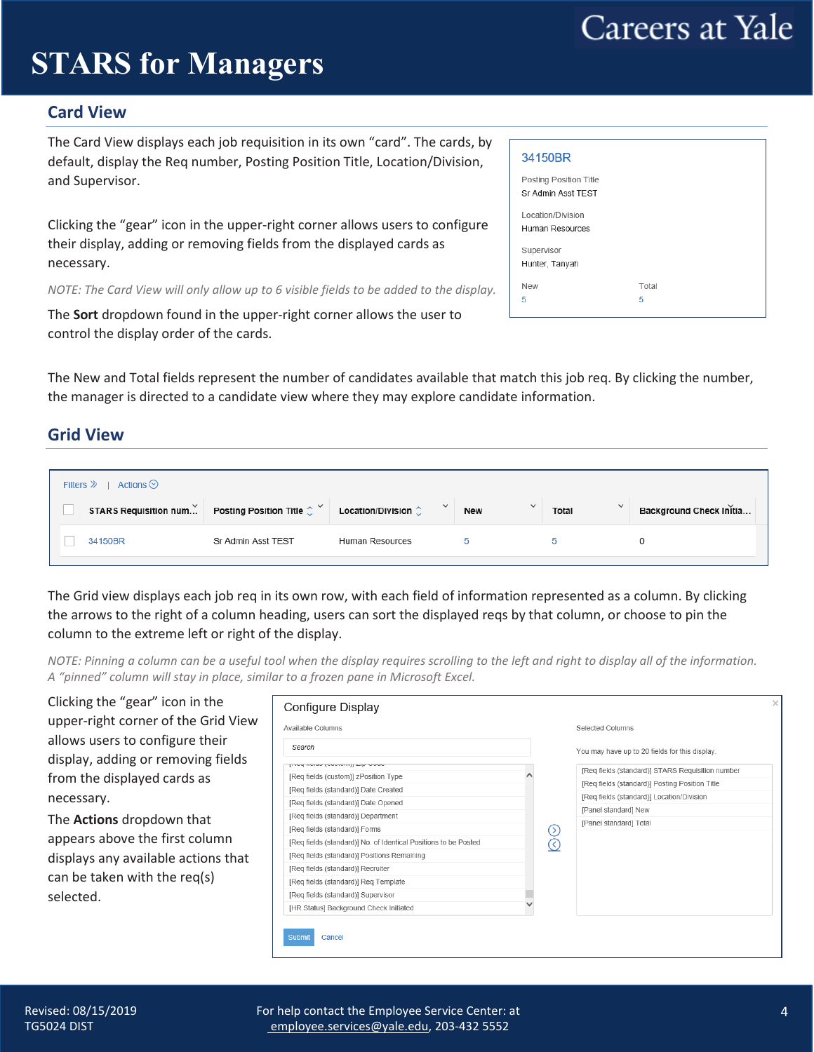# **STARS** for Managers

### <span id="page-3-0"></span>**Card View**

The Card View displays each job requisition in its own "card". The cards, by default, display the Req number, Posting Position Title, Location/Division, and Supervisor.

Clicking the "gear" icon in the upper-right corner allows users to configure their display, adding or removing fields from the displayed cards as necessary.

*NOTE: The Card View will only allow up to 6 visible fields to be added to the display.*

The **Sort** dropdown found in the upper-right corner allows the user to control the display order of the cards.

| 34150BR                                      |       |  |
|----------------------------------------------|-------|--|
| Posting Position Title<br>Sr Admin Asst TEST |       |  |
| Location/Division<br>Human Resources         |       |  |
| Supervisor<br>Hunter, Tanyah                 |       |  |
| <b>New</b>                                   | Total |  |
| 5                                            | 5     |  |
|                                              |       |  |

The New and Total fields represent the number of candidates available that match this job req. By clicking the number, the manager is directed to a candidate view where they may explore candidate information.

#### <span id="page-3-1"></span>**Grid View**

| $\checkmark$<br>$\checkmark$<br>$\checkmark$<br>STARS Requisition num Posting Position Title $\hat{\zeta}^{\vee}$<br>Location/Division $\hat{\mathbb{C}}$<br>Background Check Initia<br><b>New</b><br>Total |  |
|-------------------------------------------------------------------------------------------------------------------------------------------------------------------------------------------------------------|--|
|                                                                                                                                                                                                             |  |
| 34150BR<br>Sr Admin Asst TEST<br>Human Resources                                                                                                                                                            |  |

The Grid view displays each job req in its own row, with each field of information represented as a column. By clicking the arrows to the right of a column heading, users can sort the displayed reqs by that column, or choose to pin the column to the extreme left or right of the display.

*NOTE: Pinning a column can be a useful tool when the display requires scrolling to the left and right to display all of the information. A "pinned" column will stay in place, similar to a frozen pane in Microsoft Excel.*

Clicking the "gear" icon in the **Configure Display** upper-right corner of the Grid View Available Columns Selected Columns allows users to configure their Search You may have up to 20 fields for this display. display, adding or removing fields mπ Lim [Req fields (standard)] STARS Requisition number from the displayed cards as [Req fields (custom)] zPosition Type [Reg fields (standard)] Posting Position Title [Req fields (standard)] Date Created [Req fields (standard)] Location/Division necessary. [Req fields (standard)] Date Opened [Panel standard] New [Req fields (standard)] Department The **Actions** dropdown that [Panel standard] Total [Req fields (standard)] Forms  $\odot$ appears above the first column  $\breve{\odot}$ [Req fields (standard)] No. of Identical Positions to be Posted [Req fields (standard)] Positions Remaining displays any available actions that [Req fields (standard)] Recruiter can be taken with the req(s) [Req fields (standard)] Req Template [Req fields (standard)] Supervisor selected.[HR Status] Background Check Initiated